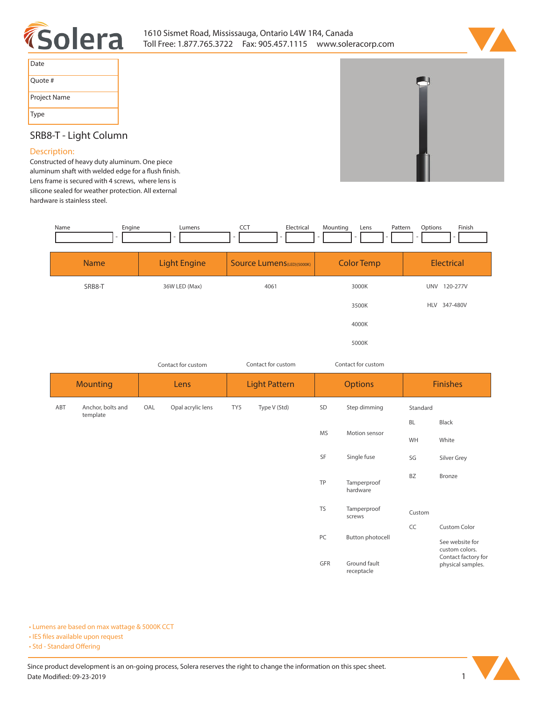



| Date         |
|--------------|
| Quote #      |
| Project Name |
| Type         |

## **SRB8-T - Light Column**

## **Description:**

**Constructed of heavy duty aluminum. One piece**  aluminum shaft with welded edge for a flush finish. **Lens frame is secured with 4 screws, where lens is silicone sealed for weather protection. All external hardware is stainless steel.** 



*Contact for custom Contact for custom*

| <b>Mounting</b> |                               | Lens |                   | <b>Light Pattern</b> |              | <b>Options</b> |                            | <b>Finishes</b> |                                                          |
|-----------------|-------------------------------|------|-------------------|----------------------|--------------|----------------|----------------------------|-----------------|----------------------------------------------------------|
| ABT             | Anchor, bolts and<br>template | OAL  | Opal acrylic lens | TY5                  | Type V (Std) | SD             | Step dimming<br>Standard   |                 |                                                          |
|                 |                               |      |                   |                      |              | <b>MS</b>      | Motion sensor              | <b>BL</b>       | Black                                                    |
|                 |                               |      |                   |                      |              |                |                            | WH              | White                                                    |
|                 |                               |      |                   |                      |              | SF             | Single fuse                | SG              | Silver Grey                                              |
|                 |                               |      |                   |                      |              | TP             | Tamperproof<br>hardware    | <b>BZ</b>       | Bronze                                                   |
|                 |                               |      |                   |                      |              | <b>TS</b>      | Tamperproof<br>screws      | Custom          |                                                          |
|                 |                               |      |                   |                      |              |                |                            | CC              | Custom Color                                             |
|                 |                               |      |                   |                      |              | PC             | Button photocell           |                 | See website for<br>custom colors.<br>Contact factory for |
|                 |                               |      |                   |                      |              | GFR            | Ground fault<br>receptacle |                 | physical samples.                                        |

**• Lumens are based on max wattage & 5000K CCT**

**• IES files available upon request** 

• Std - Standard Offering

Since product development is an on-going process, Solera reserves the right to change the information on this spec sheet. **Date Modified: 09-23-2019** 1